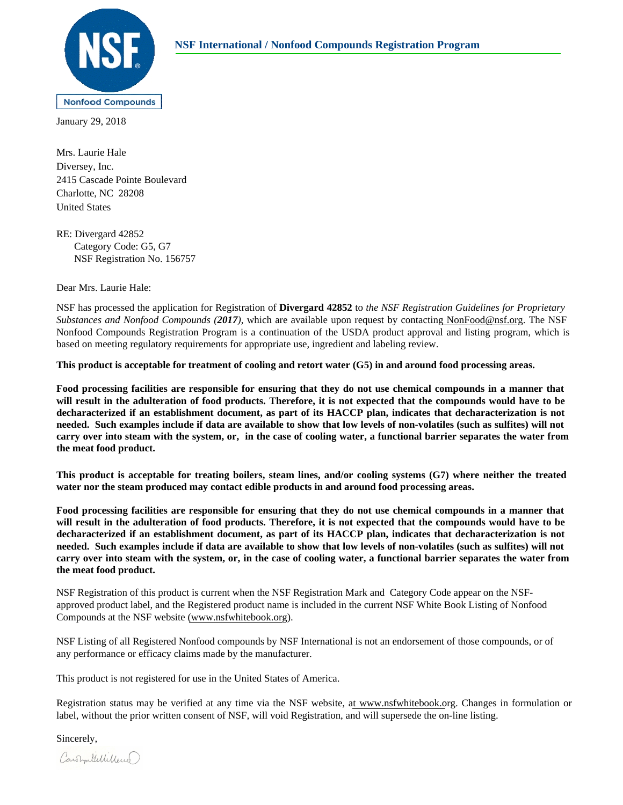

January 29, 2018

Diversey, Inc. Mrs. Laurie Hale 2415 Cascade Pointe Boulevard Charlotte, NC 28208 United States

RE: Divergard 42852 Category Code: G5, G7 NSF Registration No. 156757

Dear Mrs. Laurie Hale:

NSF has processed the application for Registration of **Divergard 42852** to *the NSF Registration Guidelines for Proprietary Substances and Nonfood Compounds (2017)*, which are available upon request by contacting NonFood@nsf.org. The NSF Nonfood Compounds Registration Program is a continuation of the USDA product approval and listing program, which is based on meeting regulatory requirements for appropriate use, ingredient and labeling review.

**This product is acceptable for treatment of cooling and retort water (G5) in and around food processing areas.**

**Food processing facilities are responsible for ensuring that they do not use chemical compounds in a manner that will result in the adulteration of food products. Therefore, it is not expected that the compounds would have to be decharacterized if an establishment document, as part of its HACCP plan, indicates that decharacterization is not needed. Such examples include if data are available to show that low levels of non-volatiles (such as sulfites) will not carry over into steam with the system, or, in the case of cooling water, a functional barrier separates the water from the meat food product.**

**This product is acceptable for treating boilers, steam lines, and/or cooling systems (G7) where neither the treated water nor the steam produced may contact edible products in and around food processing areas.**

**Food processing facilities are responsible for ensuring that they do not use chemical compounds in a manner that will result in the adulteration of food products. Therefore, it is not expected that the compounds would have to be decharacterized if an establishment document, as part of its HACCP plan, indicates that decharacterization is not needed. Such examples include if data are available to show that low levels of non-volatiles (such as sulfites) will not carry over into steam with the system, or, in the case of cooling water, a functional barrier separates the water from the meat food product.**

NSF Registration of this product is current when the NSF Registration Mark and Category Code appear on the NSFapproved product label, and the Registered product name is included in the current NSF White Book Listing of Nonfood Compounds at the NSF website (www.nsfwhitebook.org).

NSF Listing of all Registered Nonfood compounds by NSF International is not an endorsement of those compounds, or of any performance or efficacy claims made by the manufacturer.

This product is not registered for use in the United States of America.

Registration status may be verified at any time via the NSF website, at www.nsfwhitebook.org. Changes in formulation or label, without the prior written consent of NSF, will void Registration, and will supersede the on-line listing.

Sincerely,

Carommitellilleur